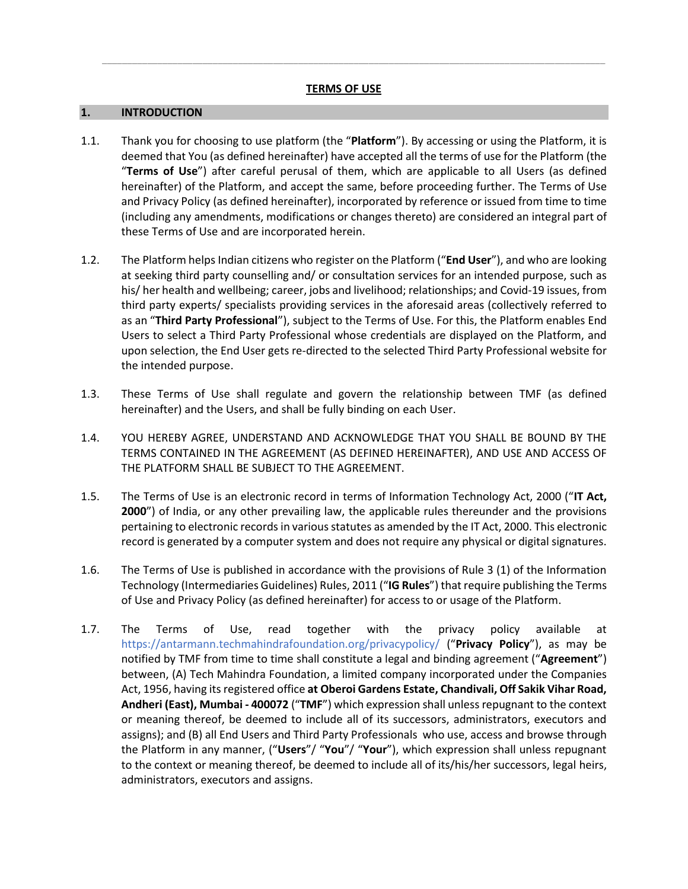*\_\_\_\_\_\_\_\_\_\_\_\_\_\_\_\_\_\_\_\_\_\_\_\_\_\_\_\_\_\_\_\_\_\_\_\_\_\_\_\_\_\_\_\_\_\_\_\_\_\_\_\_\_\_\_\_\_\_\_\_\_\_\_\_\_\_\_\_\_\_\_\_\_\_\_\_\_\_\_\_\_\_\_\_\_\_\_\_\_\_\_\_\_\_\_\_\_\_\_\_*

#### **1. INTRODUCTION**

- 1.1. Thank you for choosing to use platform (the "**Platform**"). By accessing or using the Platform, it is deemed that You (as defined hereinafter) have accepted all the terms of use for the Platform (the "**Terms of Use**") after careful perusal of them, which are applicable to all Users (as defined hereinafter) of the Platform, and accept the same, before proceeding further. The Terms of Use and Privacy Policy (as defined hereinafter), incorporated by reference or issued from time to time (including any amendments, modifications or changes thereto) are considered an integral part of these Terms of Use and are incorporated herein.
- 1.2. The Platform helps Indian citizens who register on the Platform ("**End User**"), and who are looking at seeking third party counselling and/ or consultation services for an intended purpose, such as his/ her health and wellbeing; career, jobs and livelihood; relationships; and Covid-19 issues, from third party experts/ specialists providing services in the aforesaid areas (collectively referred to as an "**Third Party Professional**"), subject to the Terms of Use. For this, the Platform enables End Users to select a Third Party Professional whose credentials are displayed on the Platform, and upon selection, the End User gets re-directed to the selected Third Party Professional website for the intended purpose.
- 1.3. These Terms of Use shall regulate and govern the relationship between TMF (as defined hereinafter) and the Users, and shall be fully binding on each User.
- 1.4. YOU HEREBY AGREE, UNDERSTAND AND ACKNOWLEDGE THAT YOU SHALL BE BOUND BY THE TERMS CONTAINED IN THE AGREEMENT (AS DEFINED HEREINAFTER), AND USE AND ACCESS OF THE PLATFORM SHALL BE SUBJECT TO THE AGREEMENT.
- 1.5. The Terms of Use is an electronic record in terms of Information Technology Act, 2000 ("**IT Act, 2000**") of India, or any other prevailing law, the applicable rules thereunder and the provisions pertaining to electronic records in various statutes as amended by the IT Act, 2000. This electronic record is generated by a computer system and does not require any physical or digital signatures.
- 1.6. The Terms of Use is published in accordance with the provisions of Rule 3 (1) of the Information Technology (Intermediaries Guidelines) Rules, 2011 ("**IG Rules**") that require publishing the Terms of Use and Privacy Policy (as defined hereinafter) for access to or usage of the Platform.
- 1.7. The Terms of Use, read together with the privacy policy available at https://antarmann.techmahindrafoundation.org/privacypolicy/ ("**Privacy Policy**"), as may be notified by TMF from time to time shall constitute a legal and binding agreement ("**Agreement**") between, (A) Tech Mahindra Foundation, a limited company incorporated under the Companies Act, 1956, having its registered office **at Oberoi Gardens Estate, Chandivali, Off Sakik Vihar Road, Andheri (East), Mumbai - 400072** ("**TMF**") which expression shall unless repugnant to the context or meaning thereof, be deemed to include all of its successors, administrators, executors and assigns); and (B) all End Users and Third Party Professionals who use, access and browse through the Platform in any manner, ("**Users**"/ "**You**"/ "**Your**"), which expression shall unless repugnant to the context or meaning thereof, be deemed to include all of its/his/her successors, legal heirs, administrators, executors and assigns.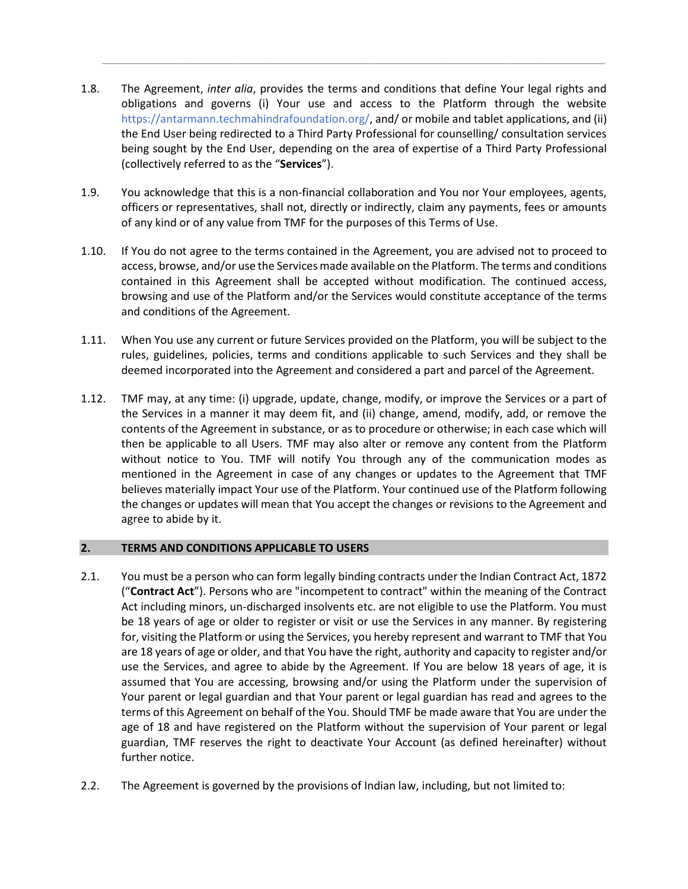1.8. The Agreement, *inter alia*, provides the terms and conditions that define Your legal rights and obligations and governs (i) Your use and access to the Platform through the website https://antarmann.techmahindrafoundation.org/, and/ or mobile and tablet applications, and (ii) the End User being redirected to a Third Party Professional for counselling/ consultation services being sought by the End User, depending on the area of expertise of a Third Party Professional (collectively referred to as the "**Services**").

*\_\_\_\_\_\_\_\_\_\_\_\_\_\_\_\_\_\_\_\_\_\_\_\_\_\_\_\_\_\_\_\_\_\_\_\_\_\_\_\_\_\_\_\_\_\_\_\_\_\_\_\_\_\_\_\_\_\_\_\_\_\_\_\_\_\_\_\_\_\_\_\_\_\_\_\_\_\_\_\_\_\_\_\_\_\_\_\_\_\_\_\_\_\_\_\_\_\_\_\_*

- 1.9. You acknowledge that this is a non-financial collaboration and You nor Your employees, agents, officers or representatives, shall not, directly or indirectly, claim any payments, fees or amounts of any kind or of any value from TMF for the purposes of this Terms of Use.
- 1.10. If You do not agree to the terms contained in the Agreement, you are advised not to proceed to access, browse, and/or use the Services made available on the Platform. The terms and conditions contained in this Agreement shall be accepted without modification. The continued access, browsing and use of the Platform and/or the Services would constitute acceptance of the terms and conditions of the Agreement.
- 1.11. When You use any current or future Services provided on the Platform, you will be subject to the rules, guidelines, policies, terms and conditions applicable to such Services and they shall be deemed incorporated into the Agreement and considered a part and parcel of the Agreement.
- 1.12. TMF may, at any time: (i) upgrade, update, change, modify, or improve the Services or a part of the Services in a manner it may deem fit, and (ii) change, amend, modify, add, or remove the contents of the Agreement in substance, or as to procedure or otherwise; in each case which will then be applicable to all Users. TMF may also alter or remove any content from the Platform without notice to You. TMF will notify You through any of the communication modes as mentioned in the Agreement in case of any changes or updates to the Agreement that TMF believes materially impact Your use of the Platform. Your continued use of the Platform following the changes or updates will mean that You accept the changes or revisions to the Agreement and agree to abide by it.

# **2. TERMS AND CONDITIONS APPLICABLE TO USERS**

- 2.1. You must be a person who can form legally binding contracts under the Indian Contract Act, 1872 ("**Contract Act**"). Persons who are "incompetent to contract" within the meaning of the Contract Act including minors, un-discharged insolvents etc. are not eligible to use the Platform. You must be 18 years of age or older to register or visit or use the Services in any manner. By registering for, visiting the Platform or using the Services, you hereby represent and warrant to TMF that You are 18 years of age or older, and that You have the right, authority and capacity to register and/or use the Services, and agree to abide by the Agreement. If You are below 18 years of age, it is assumed that You are accessing, browsing and/or using the Platform under the supervision of Your parent or legal guardian and that Your parent or legal guardian has read and agrees to the terms of this Agreement on behalf of the You. Should TMF be made aware that You are under the age of 18 and have registered on the Platform without the supervision of Your parent or legal guardian, TMF reserves the right to deactivate Your Account (as defined hereinafter) without further notice.
- 2.2. The Agreement is governed by the provisions of Indian law, including, but not limited to: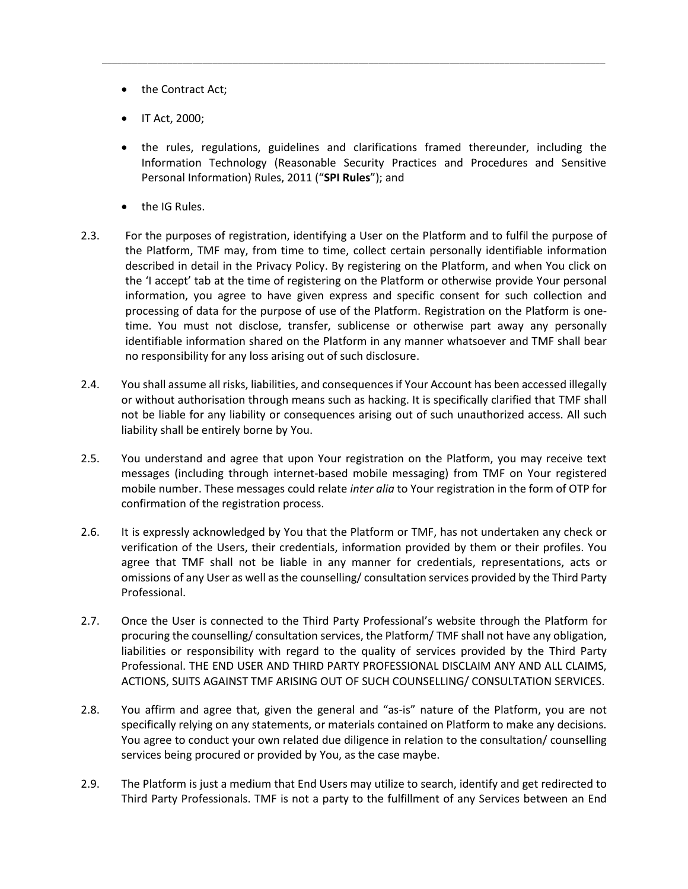- the Contract Act;
- IT Act, 2000;
- the rules, regulations, guidelines and clarifications framed thereunder, including the Information Technology (Reasonable Security Practices and Procedures and Sensitive Personal Information) Rules, 2011 ("**SPI Rules**"); and

*\_\_\_\_\_\_\_\_\_\_\_\_\_\_\_\_\_\_\_\_\_\_\_\_\_\_\_\_\_\_\_\_\_\_\_\_\_\_\_\_\_\_\_\_\_\_\_\_\_\_\_\_\_\_\_\_\_\_\_\_\_\_\_\_\_\_\_\_\_\_\_\_\_\_\_\_\_\_\_\_\_\_\_\_\_\_\_\_\_\_\_\_\_\_\_\_\_\_\_\_*

- the IG Rules.
- 2.3. For the purposes of registration, identifying a User on the Platform and to fulfil the purpose of the Platform, TMF may, from time to time, collect certain personally identifiable information described in detail in the Privacy Policy. By registering on the Platform, and when You click on the 'I accept' tab at the time of registering on the Platform or otherwise provide Your personal information, you agree to have given express and specific consent for such collection and processing of data for the purpose of use of the Platform. Registration on the Platform is onetime. You must not disclose, transfer, sublicense or otherwise part away any personally identifiable information shared on the Platform in any manner whatsoever and TMF shall bear no responsibility for any loss arising out of such disclosure.
- 2.4. You shall assume all risks, liabilities, and consequences if Your Account has been accessed illegally or without authorisation through means such as hacking. It is specifically clarified that TMF shall not be liable for any liability or consequences arising out of such unauthorized access. All such liability shall be entirely borne by You.
- 2.5. You understand and agree that upon Your registration on the Platform, you may receive text messages (including through internet-based mobile messaging) from TMF on Your registered mobile number. These messages could relate *inter alia* to Your registration in the form of OTP for confirmation of the registration process.
- 2.6. It is expressly acknowledged by You that the Platform or TMF, has not undertaken any check or verification of the Users, their credentials, information provided by them or their profiles. You agree that TMF shall not be liable in any manner for credentials, representations, acts or omissions of any User as well as the counselling/ consultation services provided by the Third Party Professional.
- 2.7. Once the User is connected to the Third Party Professional's website through the Platform for procuring the counselling/ consultation services, the Platform/ TMF shall not have any obligation, liabilities or responsibility with regard to the quality of services provided by the Third Party Professional. THE END USER AND THIRD PARTY PROFESSIONAL DISCLAIM ANY AND ALL CLAIMS, ACTIONS, SUITS AGAINST TMF ARISING OUT OF SUCH COUNSELLING/ CONSULTATION SERVICES.
- 2.8. You affirm and agree that, given the general and "as-is" nature of the Platform, you are not specifically relying on any statements, or materials contained on Platform to make any decisions. You agree to conduct your own related due diligence in relation to the consultation/ counselling services being procured or provided by You, as the case maybe.
- 2.9. The Platform is just a medium that End Users may utilize to search, identify and get redirected to Third Party Professionals. TMF is not a party to the fulfillment of any Services between an End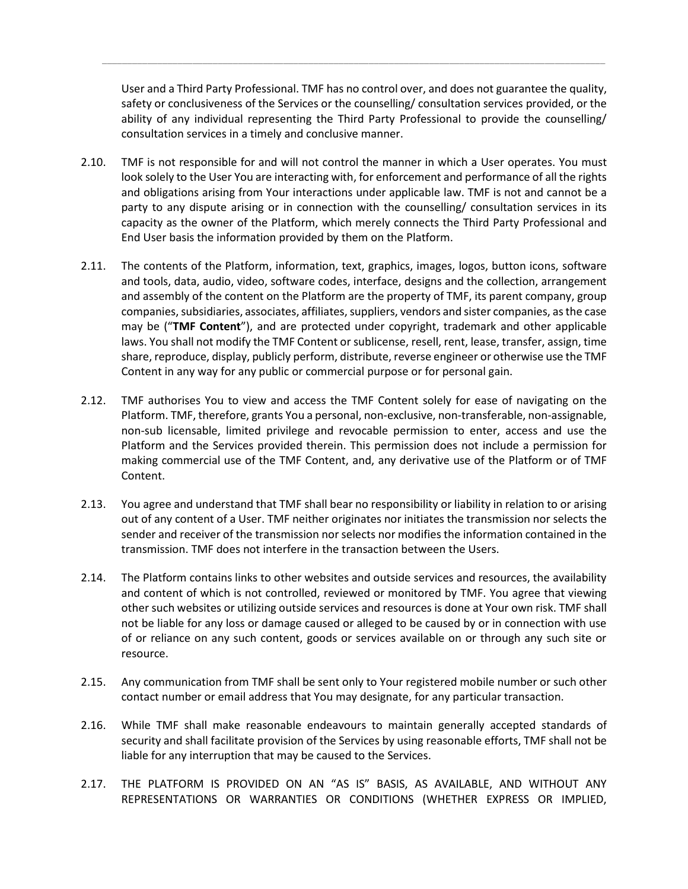User and a Third Party Professional. TMF has no control over, and does not guarantee the quality, safety or conclusiveness of the Services or the counselling/ consultation services provided, or the ability of any individual representing the Third Party Professional to provide the counselling/ consultation services in a timely and conclusive manner.

*\_\_\_\_\_\_\_\_\_\_\_\_\_\_\_\_\_\_\_\_\_\_\_\_\_\_\_\_\_\_\_\_\_\_\_\_\_\_\_\_\_\_\_\_\_\_\_\_\_\_\_\_\_\_\_\_\_\_\_\_\_\_\_\_\_\_\_\_\_\_\_\_\_\_\_\_\_\_\_\_\_\_\_\_\_\_\_\_\_\_\_\_\_\_\_\_\_\_\_\_*

- 2.10. TMF is not responsible for and will not control the manner in which a User operates. You must look solely to the User You are interacting with, for enforcement and performance of all the rights and obligations arising from Your interactions under applicable law. TMF is not and cannot be a party to any dispute arising or in connection with the counselling/ consultation services in its capacity as the owner of the Platform, which merely connects the Third Party Professional and End User basis the information provided by them on the Platform.
- 2.11. The contents of the Platform, information, text, graphics, images, logos, button icons, software and tools, data, audio, video, software codes, interface, designs and the collection, arrangement and assembly of the content on the Platform are the property of TMF, its parent company, group companies, subsidiaries, associates, affiliates, suppliers, vendors and sister companies, as the case may be ("**TMF Content**"), and are protected under copyright, trademark and other applicable laws. You shall not modify the TMF Content or sublicense, resell, rent, lease, transfer, assign, time share, reproduce, display, publicly perform, distribute, reverse engineer or otherwise use the TMF Content in any way for any public or commercial purpose or for personal gain.
- 2.12. TMF authorises You to view and access the TMF Content solely for ease of navigating on the Platform. TMF, therefore, grants You a personal, non-exclusive, non-transferable, non-assignable, non-sub licensable, limited privilege and revocable permission to enter, access and use the Platform and the Services provided therein. This permission does not include a permission for making commercial use of the TMF Content, and, any derivative use of the Platform or of TMF Content.
- 2.13. You agree and understand that TMF shall bear no responsibility or liability in relation to or arising out of any content of a User. TMF neither originates nor initiates the transmission nor selects the sender and receiver of the transmission nor selects nor modifies the information contained in the transmission. TMF does not interfere in the transaction between the Users.
- 2.14. The Platform contains links to other websites and outside services and resources, the availability and content of which is not controlled, reviewed or monitored by TMF. You agree that viewing other such websites or utilizing outside services and resources is done at Your own risk. TMF shall not be liable for any loss or damage caused or alleged to be caused by or in connection with use of or reliance on any such content, goods or services available on or through any such site or resource.
- 2.15. Any communication from TMF shall be sent only to Your registered mobile number or such other contact number or email address that You may designate, for any particular transaction.
- 2.16. While TMF shall make reasonable endeavours to maintain generally accepted standards of security and shall facilitate provision of the Services by using reasonable efforts, TMF shall not be liable for any interruption that may be caused to the Services.
- 2.17. THE PLATFORM IS PROVIDED ON AN "AS IS" BASIS, AS AVAILABLE, AND WITHOUT ANY REPRESENTATIONS OR WARRANTIES OR CONDITIONS (WHETHER EXPRESS OR IMPLIED,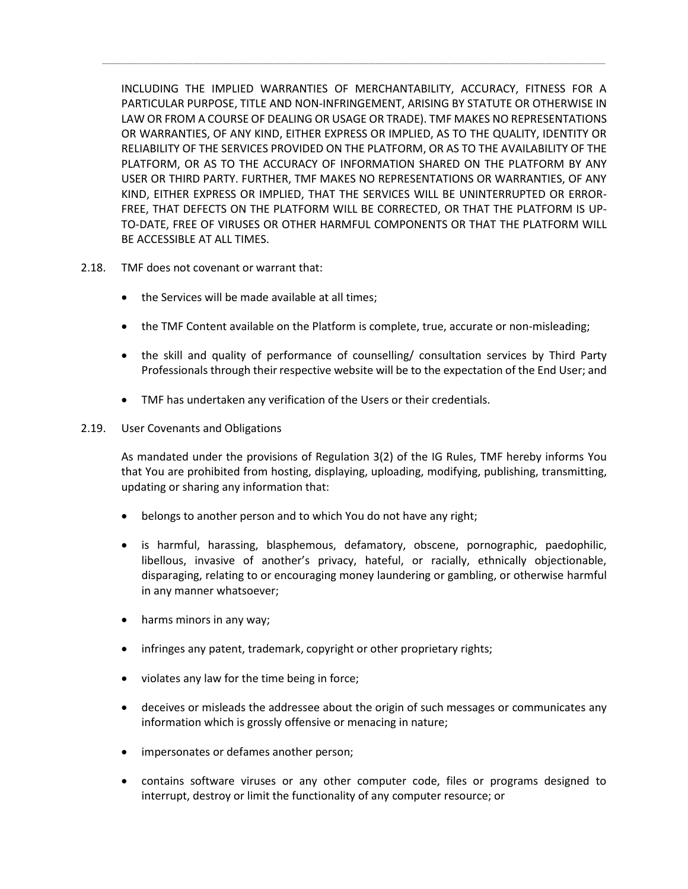INCLUDING THE IMPLIED WARRANTIES OF MERCHANTABILITY, ACCURACY, FITNESS FOR A PARTICULAR PURPOSE, TITLE AND NON-INFRINGEMENT, ARISING BY STATUTE OR OTHERWISE IN LAW OR FROM A COURSE OF DEALING OR USAGE OR TRADE). TMF MAKES NO REPRESENTATIONS OR WARRANTIES, OF ANY KIND, EITHER EXPRESS OR IMPLIED, AS TO THE QUALITY, IDENTITY OR RELIABILITY OF THE SERVICES PROVIDED ON THE PLATFORM, OR AS TO THE AVAILABILITY OF THE PLATFORM, OR AS TO THE ACCURACY OF INFORMATION SHARED ON THE PLATFORM BY ANY USER OR THIRD PARTY. FURTHER, TMF MAKES NO REPRESENTATIONS OR WARRANTIES, OF ANY KIND, EITHER EXPRESS OR IMPLIED, THAT THE SERVICES WILL BE UNINTERRUPTED OR ERROR-FREE, THAT DEFECTS ON THE PLATFORM WILL BE CORRECTED, OR THAT THE PLATFORM IS UP-TO-DATE, FREE OF VIRUSES OR OTHER HARMFUL COMPONENTS OR THAT THE PLATFORM WILL BE ACCESSIBLE AT ALL TIMES.

*\_\_\_\_\_\_\_\_\_\_\_\_\_\_\_\_\_\_\_\_\_\_\_\_\_\_\_\_\_\_\_\_\_\_\_\_\_\_\_\_\_\_\_\_\_\_\_\_\_\_\_\_\_\_\_\_\_\_\_\_\_\_\_\_\_\_\_\_\_\_\_\_\_\_\_\_\_\_\_\_\_\_\_\_\_\_\_\_\_\_\_\_\_\_\_\_\_\_\_\_*

- 2.18. TMF does not covenant or warrant that:
	- the Services will be made available at all times;
	- the TMF Content available on the Platform is complete, true, accurate or non-misleading;
	- the skill and quality of performance of counselling/ consultation services by Third Party Professionals through their respective website will be to the expectation of the End User; and
	- TMF has undertaken any verification of the Users or their credentials.
- 2.19. User Covenants and Obligations

As mandated under the provisions of Regulation 3(2) of the IG Rules, TMF hereby informs You that You are prohibited from hosting, displaying, uploading, modifying, publishing, transmitting, updating or sharing any information that:

- belongs to another person and to which You do not have any right;
- is harmful, harassing, blasphemous, defamatory, obscene, pornographic, paedophilic, libellous, invasive of another's privacy, hateful, or racially, ethnically objectionable, disparaging, relating to or encouraging money laundering or gambling, or otherwise harmful in any manner whatsoever;
- harms minors in any way;
- infringes any patent, trademark, copyright or other proprietary rights;
- violates any law for the time being in force;
- deceives or misleads the addressee about the origin of such messages or communicates any information which is grossly offensive or menacing in nature;
- impersonates or defames another person;
- contains software viruses or any other computer code, files or programs designed to interrupt, destroy or limit the functionality of any computer resource; or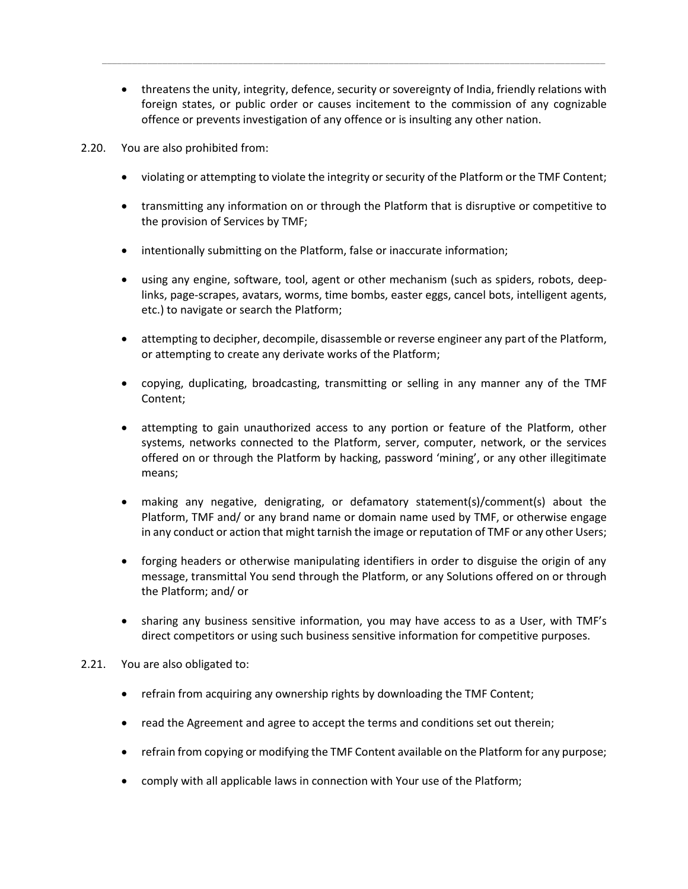• threatens the unity, integrity, defence, security or sovereignty of India, friendly relations with foreign states, or public order or causes incitement to the commission of any cognizable offence or prevents investigation of any offence or is insulting any other nation.

*\_\_\_\_\_\_\_\_\_\_\_\_\_\_\_\_\_\_\_\_\_\_\_\_\_\_\_\_\_\_\_\_\_\_\_\_\_\_\_\_\_\_\_\_\_\_\_\_\_\_\_\_\_\_\_\_\_\_\_\_\_\_\_\_\_\_\_\_\_\_\_\_\_\_\_\_\_\_\_\_\_\_\_\_\_\_\_\_\_\_\_\_\_\_\_\_\_\_\_\_*

- 2.20. You are also prohibited from:
	- violating or attempting to violate the integrity or security of the Platform or the TMF Content;
	- transmitting any information on or through the Platform that is disruptive or competitive to the provision of Services by TMF;
	- intentionally submitting on the Platform, false or inaccurate information;
	- using any engine, software, tool, agent or other mechanism (such as spiders, robots, deeplinks, page-scrapes, avatars, worms, time bombs, easter eggs, cancel bots, intelligent agents, etc.) to navigate or search the Platform;
	- attempting to decipher, decompile, disassemble or reverse engineer any part of the Platform, or attempting to create any derivate works of the Platform;
	- copying, duplicating, broadcasting, transmitting or selling in any manner any of the TMF Content;
	- attempting to gain unauthorized access to any portion or feature of the Platform, other systems, networks connected to the Platform, server, computer, network, or the services offered on or through the Platform by hacking, password 'mining', or any other illegitimate means;
	- making any negative, denigrating, or defamatory statement(s)/comment(s) about the Platform, TMF and/ or any brand name or domain name used by TMF, or otherwise engage in any conduct or action that might tarnish the image or reputation of TMF or any other Users;
	- forging headers or otherwise manipulating identifiers in order to disguise the origin of any message, transmittal You send through the Platform, or any Solutions offered on or through the Platform; and/ or
	- sharing any business sensitive information, you may have access to as a User, with TMF's direct competitors or using such business sensitive information for competitive purposes.
- 2.21. You are also obligated to:
	- refrain from acquiring any ownership rights by downloading the TMF Content;
	- read the Agreement and agree to accept the terms and conditions set out therein;
	- refrain from copying or modifying the TMF Content available on the Platform for any purpose;
	- comply with all applicable laws in connection with Your use of the Platform;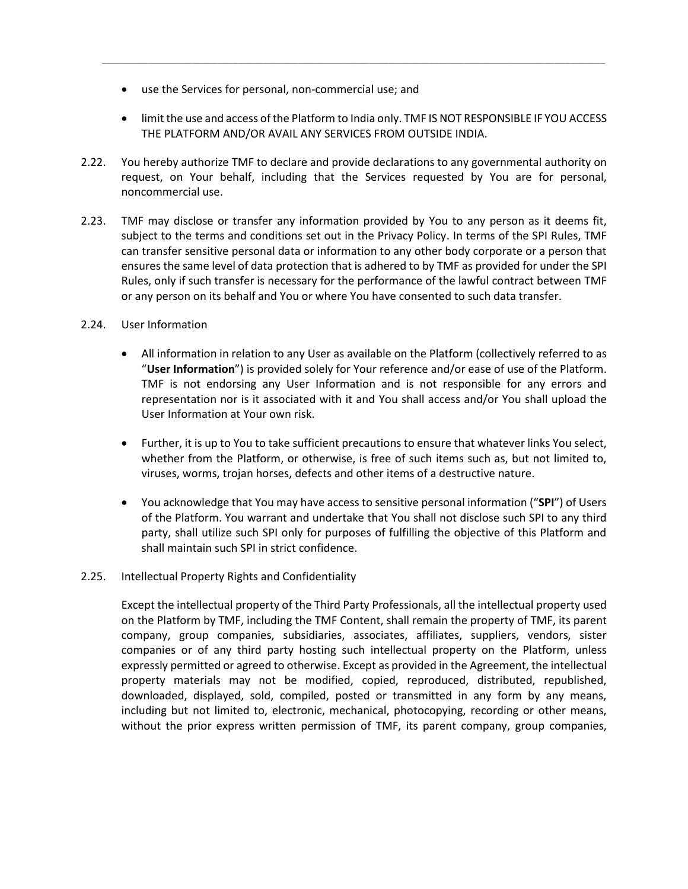- use the Services for personal, non-commercial use; and
- limit the use and access of the Platform to India only. TMF IS NOT RESPONSIBLE IF YOU ACCESS THE PLATFORM AND/OR AVAIL ANY SERVICES FROM OUTSIDE INDIA.

*\_\_\_\_\_\_\_\_\_\_\_\_\_\_\_\_\_\_\_\_\_\_\_\_\_\_\_\_\_\_\_\_\_\_\_\_\_\_\_\_\_\_\_\_\_\_\_\_\_\_\_\_\_\_\_\_\_\_\_\_\_\_\_\_\_\_\_\_\_\_\_\_\_\_\_\_\_\_\_\_\_\_\_\_\_\_\_\_\_\_\_\_\_\_\_\_\_\_\_\_*

- 2.22. You hereby authorize TMF to declare and provide declarations to any governmental authority on request, on Your behalf, including that the Services requested by You are for personal, noncommercial use.
- 2.23. TMF may disclose or transfer any information provided by You to any person as it deems fit, subject to the terms and conditions set out in the Privacy Policy. In terms of the SPI Rules, TMF can transfer sensitive personal data or information to any other body corporate or a person that ensures the same level of data protection that is adhered to by TMF as provided for under the SPI Rules, only if such transfer is necessary for the performance of the lawful contract between TMF or any person on its behalf and You or where You have consented to such data transfer.
- 2.24. User Information
	- All information in relation to any User as available on the Platform (collectively referred to as "**User Information**") is provided solely for Your reference and/or ease of use of the Platform. TMF is not endorsing any User Information and is not responsible for any errors and representation nor is it associated with it and You shall access and/or You shall upload the User Information at Your own risk.
	- Further, it is up to You to take sufficient precautions to ensure that whatever links You select, whether from the Platform, or otherwise, is free of such items such as, but not limited to, viruses, worms, trojan horses, defects and other items of a destructive nature.
	- You acknowledge that You may have access to sensitive personal information ("**SPI**") of Users of the Platform. You warrant and undertake that You shall not disclose such SPI to any third party, shall utilize such SPI only for purposes of fulfilling the objective of this Platform and shall maintain such SPI in strict confidence.

# 2.25. Intellectual Property Rights and Confidentiality

Except the intellectual property of the Third Party Professionals, all the intellectual property used on the Platform by TMF, including the TMF Content, shall remain the property of TMF, its parent company, group companies, subsidiaries, associates, affiliates, suppliers, vendors, sister companies or of any third party hosting such intellectual property on the Platform, unless expressly permitted or agreed to otherwise. Except as provided in the Agreement, the intellectual property materials may not be modified, copied, reproduced, distributed, republished, downloaded, displayed, sold, compiled, posted or transmitted in any form by any means, including but not limited to, electronic, mechanical, photocopying, recording or other means, without the prior express written permission of TMF, its parent company, group companies,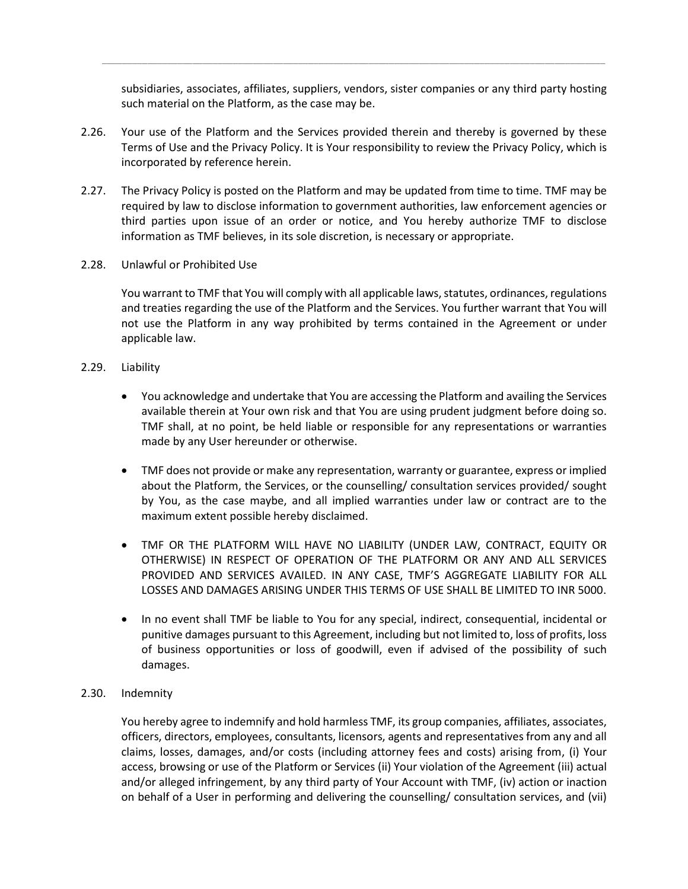subsidiaries, associates, affiliates, suppliers, vendors, sister companies or any third party hosting such material on the Platform, as the case may be.

*\_\_\_\_\_\_\_\_\_\_\_\_\_\_\_\_\_\_\_\_\_\_\_\_\_\_\_\_\_\_\_\_\_\_\_\_\_\_\_\_\_\_\_\_\_\_\_\_\_\_\_\_\_\_\_\_\_\_\_\_\_\_\_\_\_\_\_\_\_\_\_\_\_\_\_\_\_\_\_\_\_\_\_\_\_\_\_\_\_\_\_\_\_\_\_\_\_\_\_\_*

- 2.26. Your use of the Platform and the Services provided therein and thereby is governed by these Terms of Use and the Privacy Policy. It is Your responsibility to review the Privacy Policy, which is incorporated by reference herein.
- 2.27. The Privacy Policy is posted on the Platform and may be updated from time to time. TMF may be required by law to disclose information to government authorities, law enforcement agencies or third parties upon issue of an order or notice, and You hereby authorize TMF to disclose information as TMF believes, in its sole discretion, is necessary or appropriate.
- 2.28. Unlawful or Prohibited Use

You warrant to TMF that You will comply with all applicable laws, statutes, ordinances, regulations and treaties regarding the use of the Platform and the Services. You further warrant that You will not use the Platform in any way prohibited by terms contained in the Agreement or under applicable law.

- 2.29. Liability
	- You acknowledge and undertake that You are accessing the Platform and availing the Services available therein at Your own risk and that You are using prudent judgment before doing so. TMF shall, at no point, be held liable or responsible for any representations or warranties made by any User hereunder or otherwise.
	- TMF does not provide or make any representation, warranty or guarantee, express or implied about the Platform, the Services, or the counselling/ consultation services provided/ sought by You, as the case maybe, and all implied warranties under law or contract are to the maximum extent possible hereby disclaimed.
	- TMF OR THE PLATFORM WILL HAVE NO LIABILITY (UNDER LAW, CONTRACT, EQUITY OR OTHERWISE) IN RESPECT OF OPERATION OF THE PLATFORM OR ANY AND ALL SERVICES PROVIDED AND SERVICES AVAILED. IN ANY CASE, TMF'S AGGREGATE LIABILITY FOR ALL LOSSES AND DAMAGES ARISING UNDER THIS TERMS OF USE SHALL BE LIMITED TO INR 5000.
	- In no event shall TMF be liable to You for any special, indirect, consequential, incidental or punitive damages pursuant to this Agreement, including but not limited to, loss of profits, loss of business opportunities or loss of goodwill, even if advised of the possibility of such damages.
- 2.30. Indemnity

You hereby agree to indemnify and hold harmless TMF, its group companies, affiliates, associates, officers, directors, employees, consultants, licensors, agents and representatives from any and all claims, losses, damages, and/or costs (including attorney fees and costs) arising from, (i) Your access, browsing or use of the Platform or Services (ii) Your violation of the Agreement (iii) actual and/or alleged infringement, by any third party of Your Account with TMF, (iv) action or inaction on behalf of a User in performing and delivering the counselling/ consultation services, and (vii)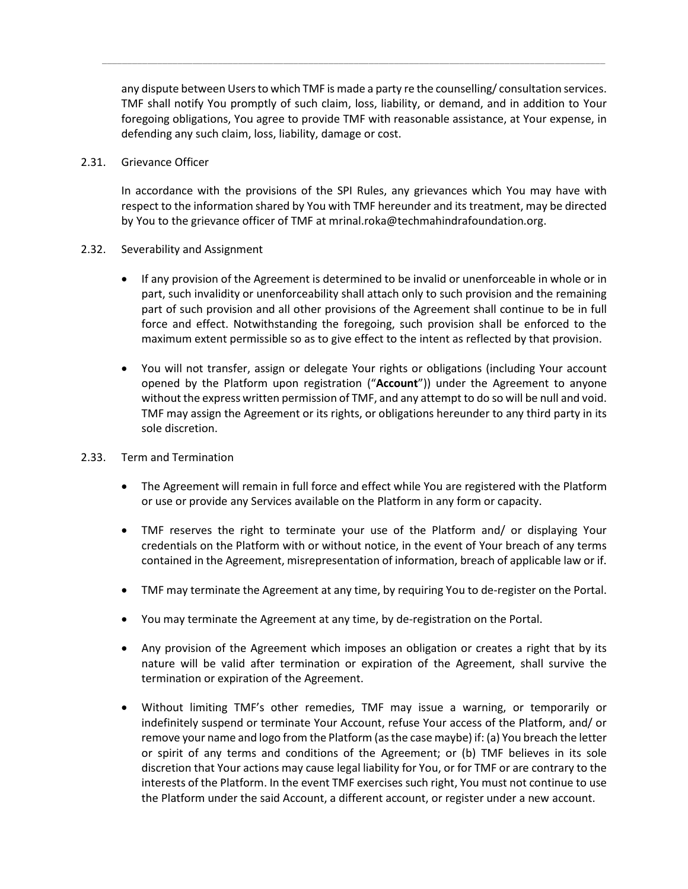any dispute between Usersto which TMF is made a party re the counselling/ consultation services. TMF shall notify You promptly of such claim, loss, liability, or demand, and in addition to Your foregoing obligations, You agree to provide TMF with reasonable assistance, at Your expense, in defending any such claim, loss, liability, damage or cost.

*\_\_\_\_\_\_\_\_\_\_\_\_\_\_\_\_\_\_\_\_\_\_\_\_\_\_\_\_\_\_\_\_\_\_\_\_\_\_\_\_\_\_\_\_\_\_\_\_\_\_\_\_\_\_\_\_\_\_\_\_\_\_\_\_\_\_\_\_\_\_\_\_\_\_\_\_\_\_\_\_\_\_\_\_\_\_\_\_\_\_\_\_\_\_\_\_\_\_\_\_*

#### 2.31. Grievance Officer

In accordance with the provisions of the SPI Rules, any grievances which You may have with respect to the information shared by You with TMF hereunder and its treatment, may be directed by You to the grievance officer of TMF at mrinal.roka@techmahindrafoundation.org.

# 2.32. Severability and Assignment

- If any provision of the Agreement is determined to be invalid or unenforceable in whole or in part, such invalidity or unenforceability shall attach only to such provision and the remaining part of such provision and all other provisions of the Agreement shall continue to be in full force and effect. Notwithstanding the foregoing, such provision shall be enforced to the maximum extent permissible so as to give effect to the intent as reflected by that provision.
- You will not transfer, assign or delegate Your rights or obligations (including Your account opened by the Platform upon registration ("**Account**")) under the Agreement to anyone without the express written permission of TMF, and any attempt to do so will be null and void. TMF may assign the Agreement or its rights, or obligations hereunder to any third party in its sole discretion.

# 2.33. Term and Termination

- The Agreement will remain in full force and effect while You are registered with the Platform or use or provide any Services available on the Platform in any form or capacity.
- TMF reserves the right to terminate your use of the Platform and/ or displaying Your credentials on the Platform with or without notice, in the event of Your breach of any terms contained in the Agreement, misrepresentation of information, breach of applicable law or if.
- TMF may terminate the Agreement at any time, by requiring You to de-register on the Portal.
- You may terminate the Agreement at any time, by de-registration on the Portal.
- Any provision of the Agreement which imposes an obligation or creates a right that by its nature will be valid after termination or expiration of the Agreement, shall survive the termination or expiration of the Agreement.
- Without limiting TMF's other remedies, TMF may issue a warning, or temporarily or indefinitely suspend or terminate Your Account, refuse Your access of the Platform, and/ or remove your name and logo from the Platform (as the case maybe) if: (a) You breach the letter or spirit of any terms and conditions of the Agreement; or (b) TMF believes in its sole discretion that Your actions may cause legal liability for You, or for TMF or are contrary to the interests of the Platform. In the event TMF exercises such right, You must not continue to use the Platform under the said Account, a different account, or register under a new account.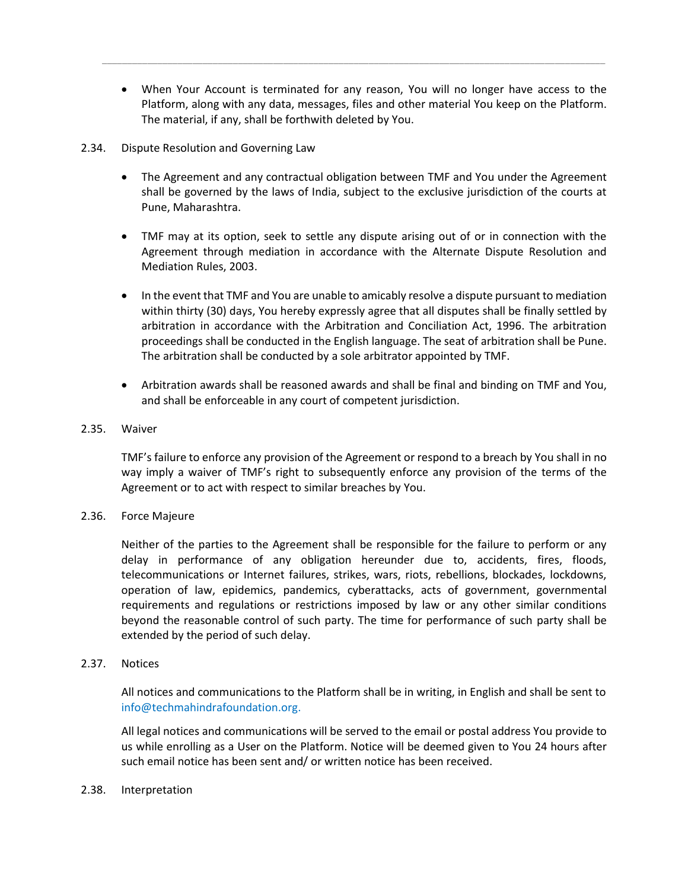• When Your Account is terminated for any reason, You will no longer have access to the Platform, along with any data, messages, files and other material You keep on the Platform. The material, if any, shall be forthwith deleted by You.

*\_\_\_\_\_\_\_\_\_\_\_\_\_\_\_\_\_\_\_\_\_\_\_\_\_\_\_\_\_\_\_\_\_\_\_\_\_\_\_\_\_\_\_\_\_\_\_\_\_\_\_\_\_\_\_\_\_\_\_\_\_\_\_\_\_\_\_\_\_\_\_\_\_\_\_\_\_\_\_\_\_\_\_\_\_\_\_\_\_\_\_\_\_\_\_\_\_\_\_\_*

#### 2.34. Dispute Resolution and Governing Law

- The Agreement and any contractual obligation between TMF and You under the Agreement shall be governed by the laws of India, subject to the exclusive jurisdiction of the courts at Pune, Maharashtra.
- TMF may at its option, seek to settle any dispute arising out of or in connection with the Agreement through mediation in accordance with the Alternate Dispute Resolution and Mediation Rules, 2003.
- In the event that TMF and You are unable to amicably resolve a dispute pursuant to mediation within thirty (30) days, You hereby expressly agree that all disputes shall be finally settled by arbitration in accordance with the Arbitration and Conciliation Act, 1996. The arbitration proceedings shall be conducted in the English language. The seat of arbitration shall be Pune. The arbitration shall be conducted by a sole arbitrator appointed by TMF.
- Arbitration awards shall be reasoned awards and shall be final and binding on TMF and You, and shall be enforceable in any court of competent jurisdiction.

# 2.35. Waiver

TMF's failure to enforce any provision of the Agreement or respond to a breach by You shall in no way imply a waiver of TMF's right to subsequently enforce any provision of the terms of the Agreement or to act with respect to similar breaches by You.

#### 2.36. Force Majeure

Neither of the parties to the Agreement shall be responsible for the failure to perform or any delay in performance of any obligation hereunder due to, accidents, fires, floods, telecommunications or Internet failures, strikes, wars, riots, rebellions, blockades, lockdowns, operation of law, epidemics, pandemics, cyberattacks, acts of government, governmental requirements and regulations or restrictions imposed by law or any other similar conditions beyond the reasonable control of such party. The time for performance of such party shall be extended by the period of such delay.

#### 2.37. Notices

All notices and communications to the Platform shall be in writing, in English and shall be sent to info@techmahindrafoundation.org.

All legal notices and communications will be served to the email or postal address You provide to us while enrolling as a User on the Platform. Notice will be deemed given to You 24 hours after such email notice has been sent and/ or written notice has been received.

#### 2.38. Interpretation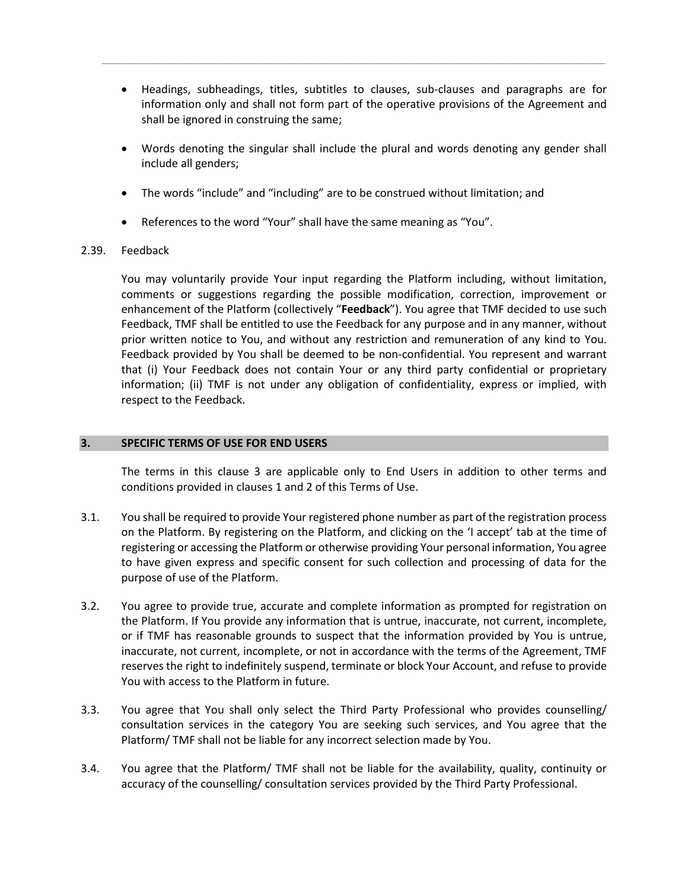• Headings, subheadings, titles, subtitles to clauses, sub-clauses and paragraphs are for information only and shall not form part of the operative provisions of the Agreement and shall be ignored in construing the same;

*\_\_\_\_\_\_\_\_\_\_\_\_\_\_\_\_\_\_\_\_\_\_\_\_\_\_\_\_\_\_\_\_\_\_\_\_\_\_\_\_\_\_\_\_\_\_\_\_\_\_\_\_\_\_\_\_\_\_\_\_\_\_\_\_\_\_\_\_\_\_\_\_\_\_\_\_\_\_\_\_\_\_\_\_\_\_\_\_\_\_\_\_\_\_\_\_\_\_\_\_*

- Words denoting the singular shall include the plural and words denoting any gender shall include all genders;
- The words "include" and "including" are to be construed without limitation; and
- References to the word "Your" shall have the same meaning as "You".

# 2.39. Feedback

You may voluntarily provide Your input regarding the Platform including, without limitation, comments or suggestions regarding the possible modification, correction, improvement or enhancement of the Platform (collectively "**Feedback**"). You agree that TMF decided to use such Feedback, TMF shall be entitled to use the Feedback for any purpose and in any manner, without prior written notice to You, and without any restriction and remuneration of any kind to You. Feedback provided by You shall be deemed to be non-confidential. You represent and warrant that (i) Your Feedback does not contain Your or any third party confidential or proprietary information; (ii) TMF is not under any obligation of confidentiality, express or implied, with respect to the Feedback.

#### **3. SPECIFIC TERMS OF USE FOR END USERS**

The terms in this clause 3 are applicable only to End Users in addition to other terms and conditions provided in clauses 1 and 2 of this Terms of Use.

- 3.1. You shall be required to provide Your registered phone number as part of the registration process on the Platform. By registering on the Platform, and clicking on the 'I accept' tab at the time of registering or accessing the Platform or otherwise providing Your personal information, You agree to have given express and specific consent for such collection and processing of data for the purpose of use of the Platform.
- 3.2. You agree to provide true, accurate and complete information as prompted for registration on the Platform. If You provide any information that is untrue, inaccurate, not current, incomplete, or if TMF has reasonable grounds to suspect that the information provided by You is untrue, inaccurate, not current, incomplete, or not in accordance with the terms of the Agreement, TMF reserves the right to indefinitely suspend, terminate or block Your Account, and refuse to provide You with access to the Platform in future.
- 3.3. You agree that You shall only select the Third Party Professional who provides counselling/ consultation services in the category You are seeking such services, and You agree that the Platform/ TMF shall not be liable for any incorrect selection made by You.
- 3.4. You agree that the Platform/ TMF shall not be liable for the availability, quality, continuity or accuracy of the counselling/ consultation services provided by the Third Party Professional.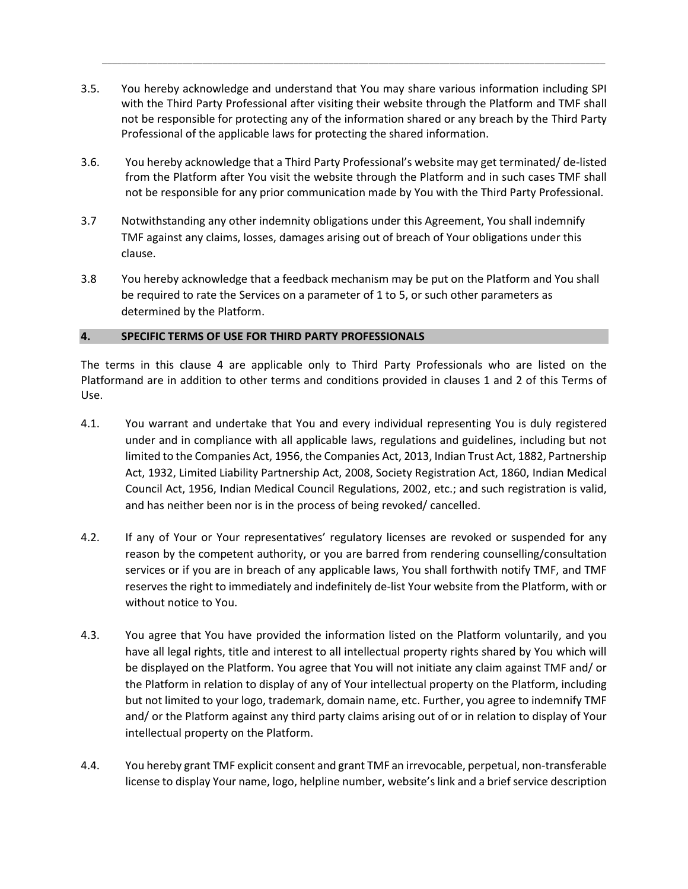3.5. You hereby acknowledge and understand that You may share various information including SPI with the Third Party Professional after visiting their website through the Platform and TMF shall not be responsible for protecting any of the information shared or any breach by the Third Party Professional of the applicable laws for protecting the shared information.

*\_\_\_\_\_\_\_\_\_\_\_\_\_\_\_\_\_\_\_\_\_\_\_\_\_\_\_\_\_\_\_\_\_\_\_\_\_\_\_\_\_\_\_\_\_\_\_\_\_\_\_\_\_\_\_\_\_\_\_\_\_\_\_\_\_\_\_\_\_\_\_\_\_\_\_\_\_\_\_\_\_\_\_\_\_\_\_\_\_\_\_\_\_\_\_\_\_\_\_\_*

- 3.6. You hereby acknowledge that a Third Party Professional's website may get terminated/ de-listed from the Platform after You visit the website through the Platform and in such cases TMF shall not be responsible for any prior communication made by You with the Third Party Professional.
- 3.7 Notwithstanding any other indemnity obligations under this Agreement, You shall indemnify TMF against any claims, losses, damages arising out of breach of Your obligations under this clause.
- 3.8 You hereby acknowledge that a feedback mechanism may be put on the Platform and You shall be required to rate the Services on a parameter of 1 to 5, or such other parameters as determined by the Platform.

# **4. SPECIFIC TERMS OF USE FOR THIRD PARTY PROFESSIONALS**

The terms in this clause 4 are applicable only to Third Party Professionals who are listed on the Platformand are in addition to other terms and conditions provided in clauses 1 and 2 of this Terms of Use.

- 4.1. You warrant and undertake that You and every individual representing You is duly registered under and in compliance with all applicable laws, regulations and guidelines, including but not limited to the Companies Act, 1956, the Companies Act, 2013, Indian Trust Act, 1882, Partnership Act, 1932, Limited Liability Partnership Act, 2008, Society Registration Act, 1860, Indian Medical Council Act, 1956, Indian Medical Council Regulations, 2002, etc.; and such registration is valid, and has neither been nor is in the process of being revoked/ cancelled.
- 4.2. If any of Your or Your representatives' regulatory licenses are revoked or suspended for any reason by the competent authority, or you are barred from rendering counselling/consultation services or if you are in breach of any applicable laws, You shall forthwith notify TMF, and TMF reserves the right to immediately and indefinitely de-list Your website from the Platform, with or without notice to You.
- 4.3. You agree that You have provided the information listed on the Platform voluntarily, and you have all legal rights, title and interest to all intellectual property rights shared by You which will be displayed on the Platform. You agree that You will not initiate any claim against TMF and/ or the Platform in relation to display of any of Your intellectual property on the Platform, including but not limited to your logo, trademark, domain name, etc. Further, you agree to indemnify TMF and/ or the Platform against any third party claims arising out of or in relation to display of Your intellectual property on the Platform.
- 4.4. You hereby grant TMF explicit consent and grant TMF an irrevocable, perpetual, non-transferable license to display Your name, logo, helpline number, website's link and a brief service description